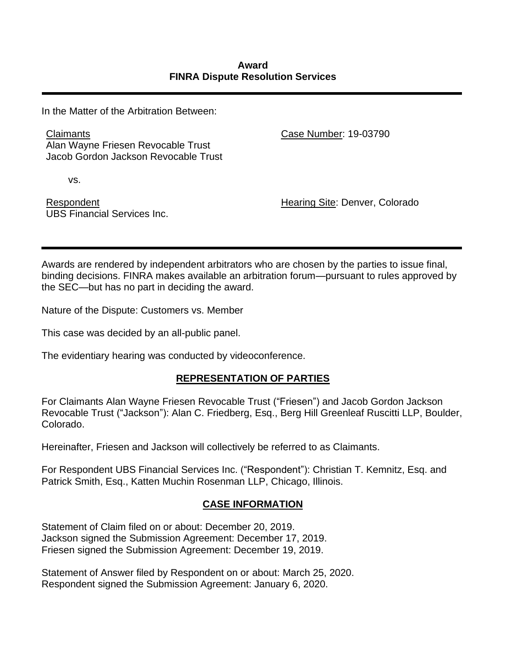In the Matter of the Arbitration Between:

**Claimants** Alan Wayne Friesen Revocable Trust Jacob Gordon Jackson Revocable Trust Case Number: 19-03790

vs.

Respondent UBS Financial Services Inc. Hearing Site: Denver, Colorado

Awards are rendered by independent arbitrators who are chosen by the parties to issue final, binding decisions. FINRA makes available an arbitration forum—pursuant to rules approved by the SEC—but has no part in deciding the award.

Nature of the Dispute: Customers vs. Member

This case was decided by an all-public panel.

The evidentiary hearing was conducted by videoconference.

# **REPRESENTATION OF PARTIES**

For Claimants Alan Wayne Friesen Revocable Trust ("Friesen") and Jacob Gordon Jackson Revocable Trust ("Jackson"): Alan C. Friedberg, Esq., Berg Hill Greenleaf Ruscitti LLP, Boulder, Colorado.

Hereinafter, Friesen and Jackson will collectively be referred to as Claimants.

For Respondent UBS Financial Services Inc. ("Respondent"): Christian T. Kemnitz, Esq. and Patrick Smith, Esq., Katten Muchin Rosenman LLP, Chicago, Illinois.

## **CASE INFORMATION**

Statement of Claim filed on or about: December 20, 2019. Jackson signed the Submission Agreement: December 17, 2019. Friesen signed the Submission Agreement: December 19, 2019.

Statement of Answer filed by Respondent on or about: March 25, 2020. Respondent signed the Submission Agreement: January 6, 2020.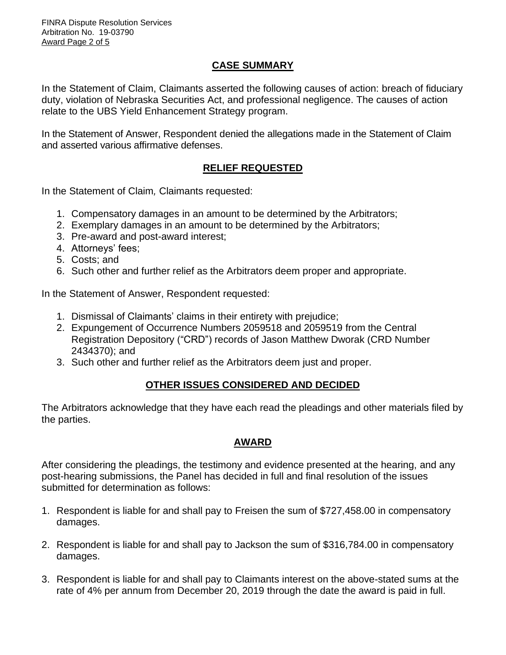## **CASE SUMMARY**

In the Statement of Claim, Claimants asserted the following causes of action: breach of fiduciary duty, violation of Nebraska Securities Act, and professional negligence. The causes of action relate to the UBS Yield Enhancement Strategy program.

In the Statement of Answer, Respondent denied the allegations made in the Statement of Claim and asserted various affirmative defenses.

## **RELIEF REQUESTED**

In the Statement of Claim*,* Claimants requested:

- 1. Compensatory damages in an amount to be determined by the Arbitrators;
- 2. Exemplary damages in an amount to be determined by the Arbitrators;
- 3. Pre-award and post-award interest;
- 4. Attorneys' fees;
- 5. Costs; and
- 6. Such other and further relief as the Arbitrators deem proper and appropriate.

In the Statement of Answer, Respondent requested:

- 1. Dismissal of Claimants' claims in their entirety with prejudice;
- 2. Expungement of Occurrence Numbers 2059518 and 2059519 from the Central Registration Depository ("CRD") records of Jason Matthew Dworak (CRD Number 2434370); and
- 3. Such other and further relief as the Arbitrators deem just and proper.

## **OTHER ISSUES CONSIDERED AND DECIDED**

The Arbitrators acknowledge that they have each read the pleadings and other materials filed by the parties.

## **AWARD**

After considering the pleadings, the testimony and evidence presented at the hearing, and any post-hearing submissions, the Panel has decided in full and final resolution of the issues submitted for determination as follows:

- 1. Respondent is liable for and shall pay to Freisen the sum of \$727,458.00 in compensatory damages.
- 2. Respondent is liable for and shall pay to Jackson the sum of \$316,784.00 in compensatory damages.
- 3. Respondent is liable for and shall pay to Claimants interest on the above-stated sums at the rate of 4% per annum from December 20, 2019 through the date the award is paid in full.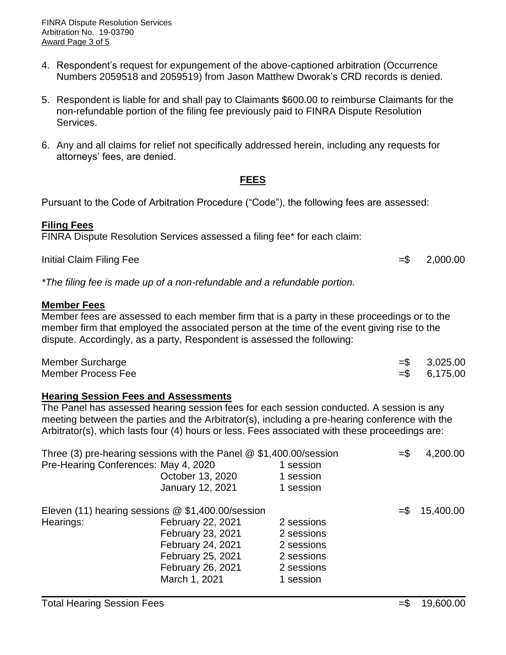- 4. Respondent's request for expungement of the above-captioned arbitration (Occurrence Numbers 2059518 and 2059519) from Jason Matthew Dworak's CRD records is denied.
- 5. Respondent is liable for and shall pay to Claimants \$600.00 to reimburse Claimants for the non-refundable portion of the filing fee previously paid to FINRA Dispute Resolution Services.
- 6. Any and all claims for relief not specifically addressed herein, including any requests for attorneys' fees, are denied.

## **FEES**

Pursuant to the Code of Arbitration Procedure ("Code"), the following fees are assessed:

### **Filing Fees**

FINRA Dispute Resolution Services assessed a filing fee\* for each claim:

Initial Claim Filing Fee  $=$  5 2,000.00

*\*The filing fee is made up of a non-refundable and a refundable portion.* 

#### **Member Fees**

Member fees are assessed to each member firm that is a party in these proceedings or to the member firm that employed the associated person at the time of the event giving rise to the dispute. Accordingly, as a party, Respondent is assessed the following:

| Member Surcharge   | $=$ \$ 3,025.00 |
|--------------------|-----------------|
| Member Process Fee | $= $$ 6,175.00  |

## **Hearing Session Fees and Assessments**

The Panel has assessed hearing session fees for each session conducted. A session is any meeting between the parties and the Arbitrator(s), including a pre-hearing conference with the Arbitrator(s), which lasts four (4) hours or less. Fees associated with these proceedings are:

| Three (3) pre-hearing sessions with the Panel $@$ \$1,400.00/session | $=$ \$                               | 4,200.00   |  |                               |
|----------------------------------------------------------------------|--------------------------------------|------------|--|-------------------------------|
|                                                                      | Pre-Hearing Conferences: May 4, 2020 | 1 session  |  |                               |
|                                                                      | October 13, 2020                     | 1 session  |  |                               |
|                                                                      | January 12, 2021                     | 1 session  |  |                               |
| Eleven (11) hearing sessions @ \$1,400.00/session                    |                                      |            |  | 15,400.00<br>$=$ $\mathbb{S}$ |
| Hearings:                                                            | February 22, 2021                    | 2 sessions |  |                               |
|                                                                      | February 23, 2021                    | 2 sessions |  |                               |
|                                                                      | February 24, 2021                    | 2 sessions |  |                               |
|                                                                      | February 25, 2021                    | 2 sessions |  |                               |
|                                                                      | February 26, 2021                    | 2 sessions |  |                               |
|                                                                      | March 1, 2021                        | 1 session  |  |                               |
|                                                                      |                                      |            |  |                               |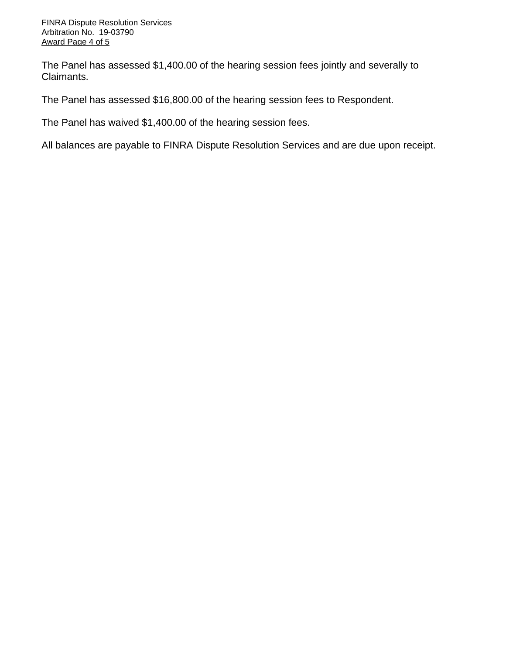The Panel has assessed \$1,400.00 of the hearing session fees jointly and severally to Claimants.

The Panel has assessed \$16,800.00 of the hearing session fees to Respondent.

The Panel has waived \$1,400.00 of the hearing session fees.

All balances are payable to FINRA Dispute Resolution Services and are due upon receipt.